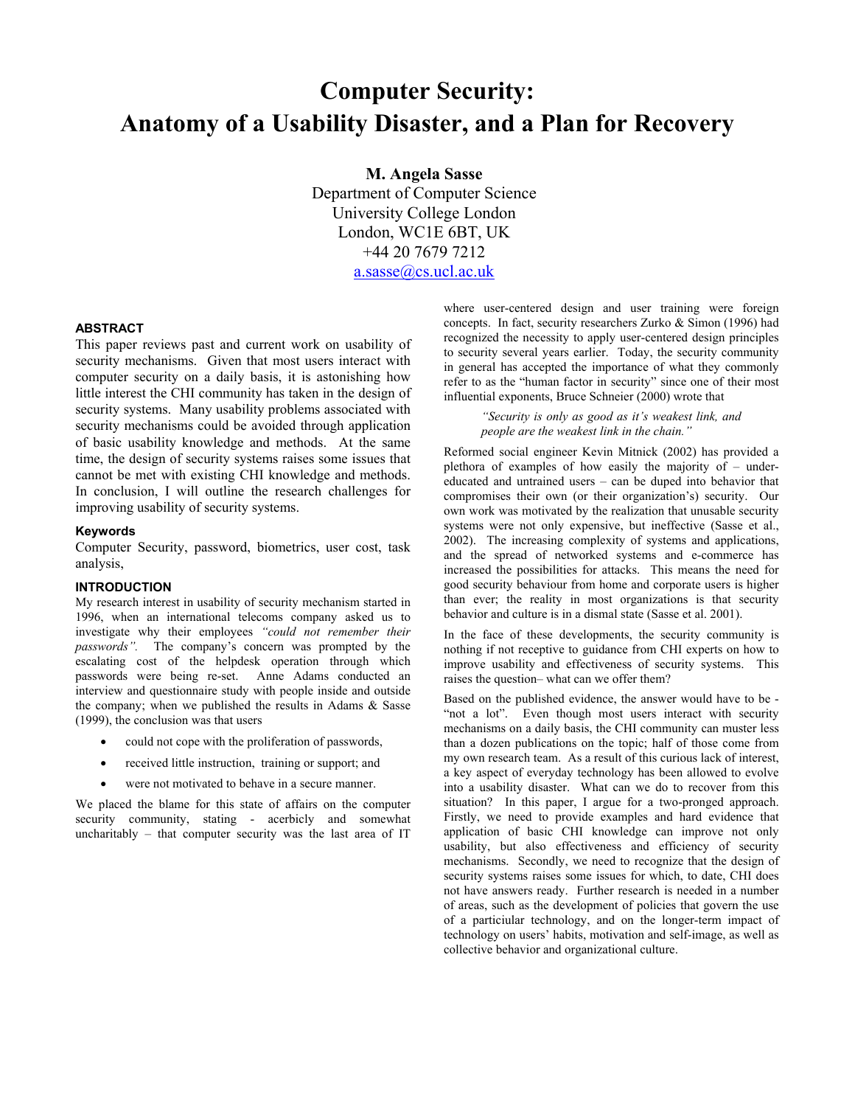# **Computer Security: Anatomy of a Usability Disaster, and a Plan for Recovery**

**M. Angela Sasse** 

Department of Computer Science University College London London, WC1E 6BT, UK +44 20 7679 7212 [a.sasse@cs.ucl.ac.uk](mailto:a.sasse@cs.ucl.ac.uk)

### **ABSTRACT**

This paper reviews past and current work on usability of security mechanisms. Given that most users interact with computer security on a daily basis, it is astonishing how little interest the CHI community has taken in the design of security systems. Many usability problems associated with security mechanisms could be avoided through application of basic usability knowledge and methods. At the same time, the design of security systems raises some issues that cannot be met with existing CHI knowledge and methods. In conclusion, I will outline the research challenges for improving usability of security systems.

#### **Keywords**

Computer Security, password, biometrics, user cost, task analysis,

#### **INTRODUCTION**

My research interest in usability of security mechanism started in 1996, when an international telecoms company asked us to investigate why their employees *"could not remember their passwords".* The company's concern was prompted by the escalating cost of the helpdesk operation through which passwords were being re-set. Anne Adams conducted an interview and questionnaire study with people inside and outside the company; when we published the results in Adams & Sasse (1999), the conclusion was that users

- could not cope with the proliferation of passwords,
- received little instruction, training or support; and
- were not motivated to behave in a secure manner.

We placed the blame for this state of affairs on the computer security community, stating - acerbicly and somewhat uncharitably – that computer security was the last area of IT

where user-centered design and user training were foreign concepts. In fact, security researchers Zurko & Simon (1996) had recognized the necessity to apply user-centered design principles to security several years earlier. Today, the security community in general has accepted the importance of what they commonly refer to as the "human factor in security" since one of their most influential exponents, Bruce Schneier (2000) wrote that

> *"Security is only as good as it's weakest link, and people are the weakest link in the chain."*

Reformed social engineer Kevin Mitnick (2002) has provided a plethora of examples of how easily the majority of – undereducated and untrained users – can be duped into behavior that compromises their own (or their organization's) security. Our own work was motivated by the realization that unusable security systems were not only expensive, but ineffective (Sasse et al., 2002). The increasing complexity of systems and applications, and the spread of networked systems and e-commerce has increased the possibilities for attacks. This means the need for good security behaviour from home and corporate users is higher than ever; the reality in most organizations is that security behavior and culture is in a dismal state (Sasse et al. 2001).

In the face of these developments, the security community is nothing if not receptive to guidance from CHI experts on how to improve usability and effectiveness of security systems. This raises the question– what can we offer them?

Based on the published evidence, the answer would have to be - "not a lot". Even though most users interact with security mechanisms on a daily basis, the CHI community can muster less than a dozen publications on the topic; half of those come from my own research team. As a result of this curious lack of interest, a key aspect of everyday technology has been allowed to evolve into a usability disaster. What can we do to recover from this situation? In this paper, I argue for a two-pronged approach. Firstly, we need to provide examples and hard evidence that application of basic CHI knowledge can improve not only usability, but also effectiveness and efficiency of security mechanisms. Secondly, we need to recognize that the design of security systems raises some issues for which, to date, CHI does not have answers ready. Further research is needed in a number of areas, such as the development of policies that govern the use of a particiular technology, and on the longer-term impact of technology on users' habits, motivation and self-image, as well as collective behavior and organizational culture.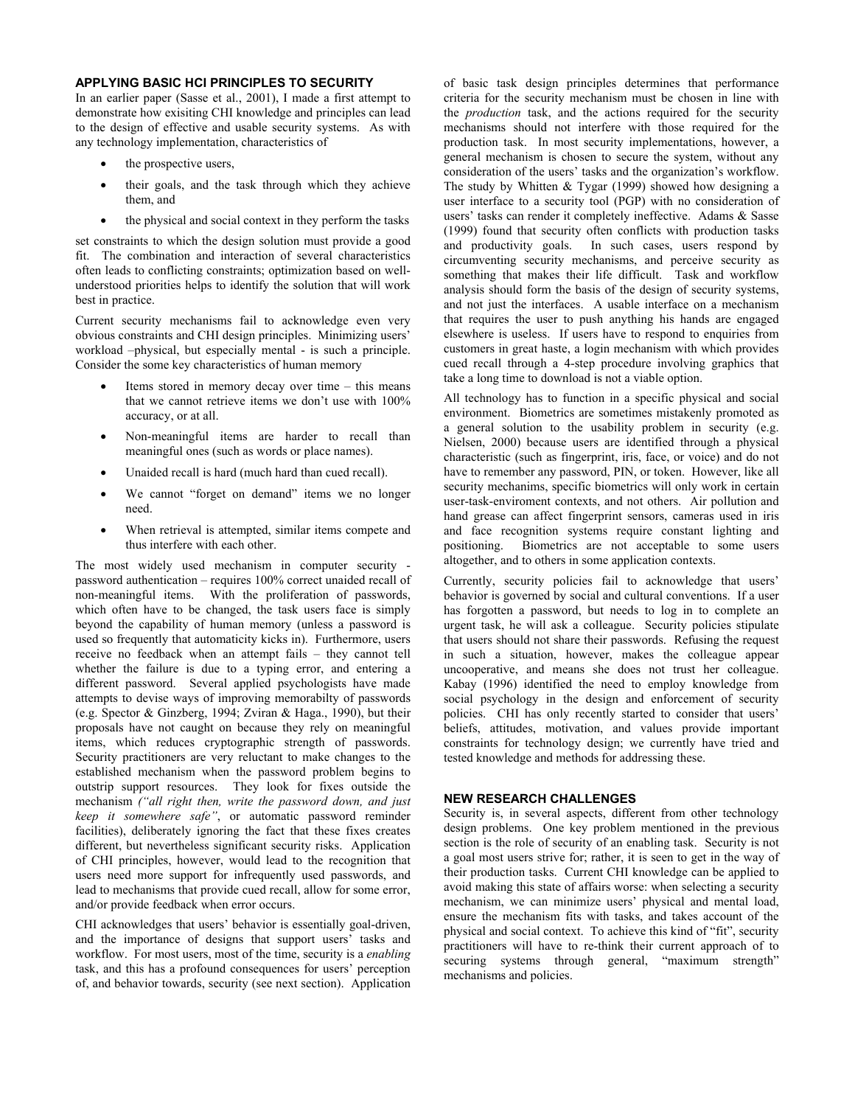## **APPLYING BASIC HCI PRINCIPLES TO SECURITY**

In an earlier paper (Sasse et al., 2001), I made a first attempt to demonstrate how exisiting CHI knowledge and principles can lead to the design of effective and usable security systems. As with any technology implementation, characteristics of

- the prospective users.
- their goals, and the task through which they achieve them, and
- the physical and social context in they perform the tasks

set constraints to which the design solution must provide a good fit. The combination and interaction of several characteristics often leads to conflicting constraints; optimization based on wellunderstood priorities helps to identify the solution that will work best in practice.

Current security mechanisms fail to acknowledge even very obvious constraints and CHI design principles. Minimizing users' workload –physical, but especially mental - is such a principle. Consider the some key characteristics of human memory

- Items stored in memory decay over time  $-$  this means that we cannot retrieve items we don't use with 100% accuracy, or at all.
- Non-meaningful items are harder to recall than meaningful ones (such as words or place names).
- Unaided recall is hard (much hard than cued recall).
- We cannot "forget on demand" items we no longer need.
- When retrieval is attempted, similar items compete and thus interfere with each other.

The most widely used mechanism in computer security password authentication – requires 100% correct unaided recall of non-meaningful items. With the proliferation of passwords, which often have to be changed, the task users face is simply beyond the capability of human memory (unless a password is used so frequently that automaticity kicks in). Furthermore, users receive no feedback when an attempt fails – they cannot tell whether the failure is due to a typing error, and entering a different password. Several applied psychologists have made attempts to devise ways of improving memorabilty of passwords (e.g. Spector & Ginzberg, 1994; Zviran & Haga., 1990), but their proposals have not caught on because they rely on meaningful items, which reduces cryptographic strength of passwords. Security practitioners are very reluctant to make changes to the established mechanism when the password problem begins to outstrip support resources. They look for fixes outside the mechanism *("all right then, write the password down, and just keep it somewhere safe"*, or automatic password reminder facilities), deliberately ignoring the fact that these fixes creates different, but nevertheless significant security risks. Application of CHI principles, however, would lead to the recognition that users need more support for infrequently used passwords, and lead to mechanisms that provide cued recall, allow for some error, and/or provide feedback when error occurs.

CHI acknowledges that users' behavior is essentially goal-driven, and the importance of designs that support users' tasks and workflow. For most users, most of the time, security is a *enabling* task, and this has a profound consequences for users' perception of, and behavior towards, security (see next section). Application

of basic task design principles determines that performance criteria for the security mechanism must be chosen in line with the *production* task, and the actions required for the security mechanisms should not interfere with those required for the production task. In most security implementations, however, a general mechanism is chosen to secure the system, without any consideration of the users' tasks and the organization's workflow. The study by Whitten  $&$  Tygar (1999) showed how designing a user interface to a security tool (PGP) with no consideration of users' tasks can render it completely ineffective. Adams & Sasse (1999) found that security often conflicts with production tasks and productivity goals. In such cases, users respond by circumventing security mechanisms, and perceive security as something that makes their life difficult. Task and workflow analysis should form the basis of the design of security systems, and not just the interfaces. A usable interface on a mechanism that requires the user to push anything his hands are engaged elsewhere is useless. If users have to respond to enquiries from customers in great haste, a login mechanism with which provides cued recall through a 4-step procedure involving graphics that take a long time to download is not a viable option.

All technology has to function in a specific physical and social environment. Biometrics are sometimes mistakenly promoted as a general solution to the usability problem in security (e.g. Nielsen, 2000) because users are identified through a physical characteristic (such as fingerprint, iris, face, or voice) and do not have to remember any password, PIN, or token. However, like all security mechanims, specific biometrics will only work in certain user-task-enviroment contexts, and not others. Air pollution and hand grease can affect fingerprint sensors, cameras used in iris and face recognition systems require constant lighting and positioning. Biometrics are not acceptable to some users altogether, and to others in some application contexts.

Currently, security policies fail to acknowledge that users' behavior is governed by social and cultural conventions. If a user has forgotten a password, but needs to log in to complete an urgent task, he will ask a colleague. Security policies stipulate that users should not share their passwords. Refusing the request in such a situation, however, makes the colleague appear uncooperative, and means she does not trust her colleague. Kabay (1996) identified the need to employ knowledge from social psychology in the design and enforcement of security policies. CHI has only recently started to consider that users' beliefs, attitudes, motivation, and values provide important constraints for technology design; we currently have tried and tested knowledge and methods for addressing these.

## **NEW RESEARCH CHALLENGES**

Security is, in several aspects, different from other technology design problems. One key problem mentioned in the previous section is the role of security of an enabling task. Security is not a goal most users strive for; rather, it is seen to get in the way of their production tasks. Current CHI knowledge can be applied to avoid making this state of affairs worse: when selecting a security mechanism, we can minimize users' physical and mental load, ensure the mechanism fits with tasks, and takes account of the physical and social context. To achieve this kind of "fit", security practitioners will have to re-think their current approach of to securing systems through general, "maximum strength" mechanisms and policies.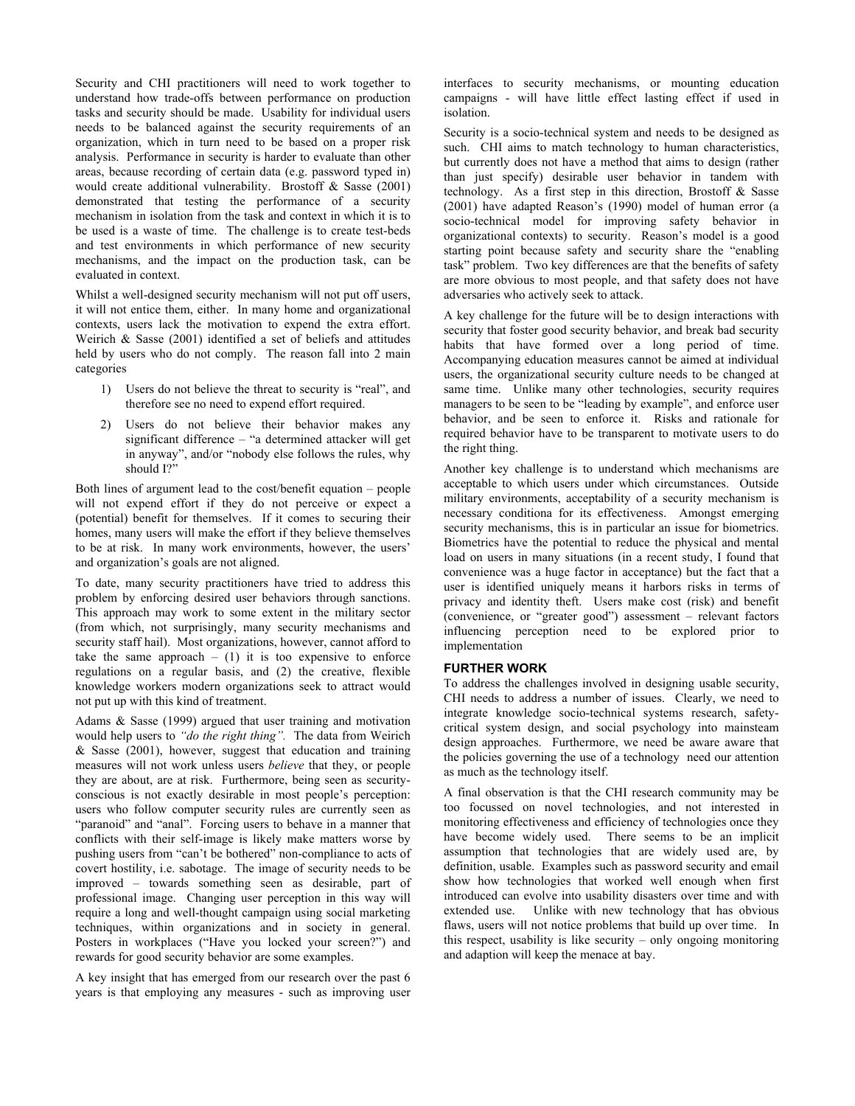Security and CHI practitioners will need to work together to understand how trade-offs between performance on production tasks and security should be made. Usability for individual users needs to be balanced against the security requirements of an organization, which in turn need to be based on a proper risk analysis. Performance in security is harder to evaluate than other areas, because recording of certain data (e.g. password typed in) would create additional vulnerability. Brostoff & Sasse (2001) demonstrated that testing the performance of a security mechanism in isolation from the task and context in which it is to be used is a waste of time. The challenge is to create test-beds and test environments in which performance of new security mechanisms, and the impact on the production task, can be evaluated in context.

Whilst a well-designed security mechanism will not put off users, it will not entice them, either. In many home and organizational contexts, users lack the motivation to expend the extra effort. Weirich & Sasse (2001) identified a set of beliefs and attitudes held by users who do not comply. The reason fall into 2 main categories

- 1) Users do not believe the threat to security is "real", and therefore see no need to expend effort required.
- 2) Users do not believe their behavior makes any significant difference – "a determined attacker will get in anyway", and/or "nobody else follows the rules, why should I?"

Both lines of argument lead to the cost/benefit equation – people will not expend effort if they do not perceive or expect a (potential) benefit for themselves. If it comes to securing their homes, many users will make the effort if they believe themselves to be at risk. In many work environments, however, the users' and organization's goals are not aligned.

To date, many security practitioners have tried to address this problem by enforcing desired user behaviors through sanctions. This approach may work to some extent in the military sector (from which, not surprisingly, many security mechanisms and security staff hail). Most organizations, however, cannot afford to take the same approach  $-$  (1) it is too expensive to enforce regulations on a regular basis, and (2) the creative, flexible knowledge workers modern organizations seek to attract would not put up with this kind of treatment.

Adams & Sasse (1999) argued that user training and motivation would help users to *"do the right thing".* The data from Weirich & Sasse (2001), however, suggest that education and training measures will not work unless users *believe* that they, or people they are about, are at risk. Furthermore, being seen as securityconscious is not exactly desirable in most people's perception: users who follow computer security rules are currently seen as "paranoid" and "anal". Forcing users to behave in a manner that conflicts with their self-image is likely make matters worse by pushing users from "can't be bothered" non-compliance to acts of covert hostility, i.e. sabotage. The image of security needs to be improved – towards something seen as desirable, part of professional image. Changing user perception in this way will require a long and well-thought campaign using social marketing techniques, within organizations and in society in general. Posters in workplaces ("Have you locked your screen?") and rewards for good security behavior are some examples.

A key insight that has emerged from our research over the past 6 years is that employing any measures - such as improving user interfaces to security mechanisms, or mounting education campaigns - will have little effect lasting effect if used in isolation.

Security is a socio-technical system and needs to be designed as such. CHI aims to match technology to human characteristics, but currently does not have a method that aims to design (rather than just specify) desirable user behavior in tandem with technology. As a first step in this direction, Brostoff & Sasse (2001) have adapted Reason's (1990) model of human error (a socio-technical model for improving safety behavior in organizational contexts) to security. Reason's model is a good starting point because safety and security share the "enabling task" problem. Two key differences are that the benefits of safety are more obvious to most people, and that safety does not have adversaries who actively seek to attack.

A key challenge for the future will be to design interactions with security that foster good security behavior, and break bad security habits that have formed over a long period of time. Accompanying education measures cannot be aimed at individual users, the organizational security culture needs to be changed at same time. Unlike many other technologies, security requires managers to be seen to be "leading by example", and enforce user behavior, and be seen to enforce it. Risks and rationale for required behavior have to be transparent to motivate users to do the right thing.

Another key challenge is to understand which mechanisms are acceptable to which users under which circumstances. Outside military environments, acceptability of a security mechanism is necessary conditiona for its effectiveness. Amongst emerging security mechanisms, this is in particular an issue for biometrics. Biometrics have the potential to reduce the physical and mental load on users in many situations (in a recent study, I found that convenience was a huge factor in acceptance) but the fact that a user is identified uniquely means it harbors risks in terms of privacy and identity theft. Users make cost (risk) and benefit (convenience, or "greater good") assessment – relevant factors influencing perception need to be explored prior to implementation

## **FURTHER WORK**

To address the challenges involved in designing usable security, CHI needs to address a number of issues. Clearly, we need to integrate knowledge socio-technical systems research, safetycritical system design, and social psychology into mainsteam design approaches. Furthermore, we need be aware aware that the policies governing the use of a technology need our attention as much as the technology itself.

A final observation is that the CHI research community may be too focussed on novel technologies, and not interested in monitoring effectiveness and efficiency of technologies once they have become widely used. There seems to be an implicit assumption that technologies that are widely used are, by definition, usable. Examples such as password security and email show how technologies that worked well enough when first introduced can evolve into usability disasters over time and with extended use. Unlike with new technology that has obvious flaws, users will not notice problems that build up over time. In this respect, usability is like security – only ongoing monitoring and adaption will keep the menace at bay.